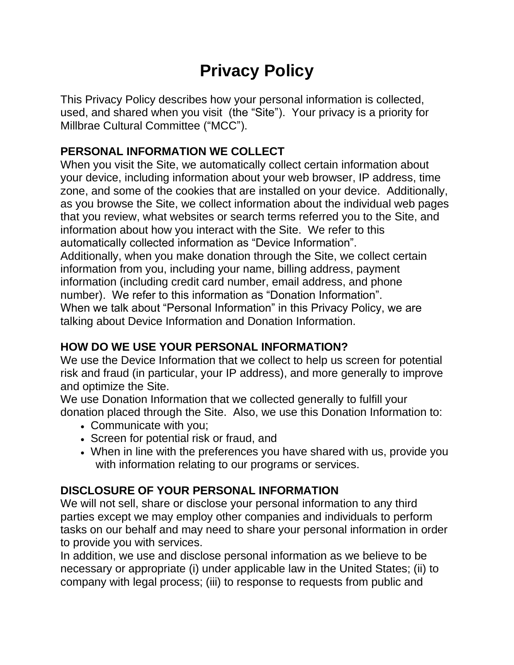# **Privacy Policy**

This Privacy Policy describes how your personal information is collected, used, and shared when you visit (the "Site"). Your privacy is a priority for Millbrae Cultural Committee ("MCC").

# **PERSONAL INFORMATION WE COLLECT**

When you visit the Site, we automatically collect certain information about your device, including information about your web browser, IP address, time zone, and some of the cookies that are installed on your device. Additionally, as you browse the Site, we collect information about the individual web pages that you review, what websites or search terms referred you to the Site, and information about how you interact with the Site. We refer to this automatically collected information as "Device Information". Additionally, when you make donation through the Site, we collect certain information from you, including your name, billing address, payment information (including credit card number, email address, and phone

number). We refer to this information as "Donation Information". When we talk about "Personal Information" in this Privacy Policy, we are talking about Device Information and Donation Information.

## **HOW DO WE USE YOUR PERSONAL INFORMATION?**

We use the Device Information that we collect to help us screen for potential risk and fraud (in particular, your IP address), and more generally to improve and optimize the Site.

We use Donation Information that we collected generally to fulfill your donation placed through the Site. Also, we use this Donation Information to:

- Communicate with you;
- Screen for potential risk or fraud, and
- When in line with the preferences you have shared with us, provide you with information relating to our programs or services.

# **DISCLOSURE OF YOUR PERSONAL INFORMATION**

We will not sell, share or disclose your personal information to any third parties except we may employ other companies and individuals to perform tasks on our behalf and may need to share your personal information in order to provide you with services.

In addition, we use and disclose personal information as we believe to be necessary or appropriate (i) under applicable law in the United States; (ii) to company with legal process; (iii) to response to requests from public and